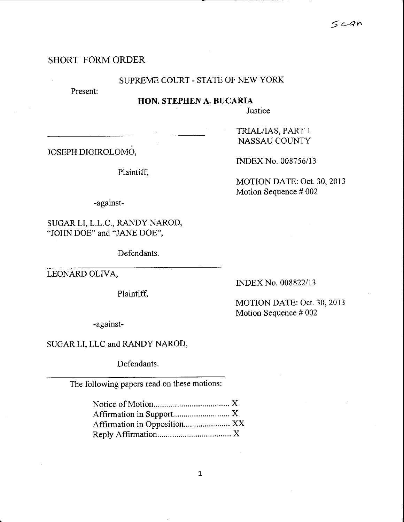# SHORT FORMORDER

### SUPREME COURT. STATE OF NEW YORK

Present:

HON. STEPHEN A. BUCARIA

**Justice** 

JOSEPH DIGIROLOMO,

Plaintiff,

TRIAL/IAS, PART <sup>1</sup> NASSAU COUNTY

INDEX No. 008756/13

MOTION DATE: OcL 30,2013 Motion Sequence # 002

-against-

SUGARLI, L.L.C., RANDY NAROD, "JOHN DOE" and "JANE DOE",

Defendants.

LEONARD OLIVA,

Plaintiff,

INDEX No. 008822/13

MOTION DATE: Oct. 30,2013 Motion Sequence # 002

-against-

SUGARLI, LLC and RANDY NAROD,

Defendants.

The following papers read on these motions: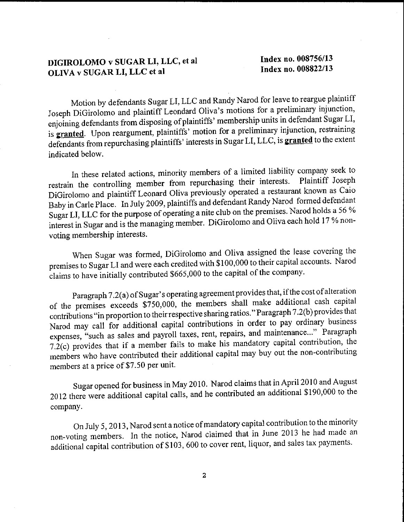## DIGIROLOMO v SUGAR LI, LLC, et al OLIVA v SUGAR LI, LLC et al

Index no. 008756113 Index no. 008822/f3

Motion by defendants Sugar LI, LLC and Randy Narod for leave to reargue plaintiff Joseph DiGirolomo and plaintiff Leondard Oliva's motions for a preliminary injunction, enjoining defendants from disposing of plaintiffs' membership units in defendant Sugar LI, is granted. Upon reargument, plaintiffs' motion for a preliminary injunction, restraining defendants from repurchasing plaintiffs' interests in Sugar LI, LLC, is granted to the extent indicated below.

In these related actions, minority members of a limited liability company seek to restrain the controlling member from repurchasing their interests. Plaintiff Joseph DiGirolomo and plaintiff Leonard Oliva previously operated a restaurant known as Caio Baby in Carle Place. In July 2009, plaintiffs and defendant Randy Narod formed defendant Sugar LI, LLC for the purpose of operating a nite club on the premises. Narod holds a 56 % interest in Sugar and is the managing member. DiGirolomo and Oliva each hold 17 % nonvoting membership interests.

When Sugar was formed, DiGirolomo and Oliva assigned the lease covering the premises to Sugar LI and were each credited with \$100,000 to their capital accounts. Narod claims to have initially contributed \$665,000 to the capital of the company.

Paragraph 7.2(a) of Sugar's operating agreement provides that, if the cost of alteration of the premises exceeds  $\overline{\text{57}}$ 50,000, the members shall make additional cash capital contributions "in proportion to their respective sharing ratios." Paragraph 7.2(b) provides that Narod may call for additional capital contributions in order to pay ordinary business expenses, "such as sales and payroll taxes, rent, repairs, and maintenance..." Paragraph  $7.\overline{2}$ (c) provides that if a member fails to make his mandatory capital contribution, the members who have contributed their additional capital may buy out the non-contributing members at a price of \$7.50 per unit.

Sugar opened for business in May 2010. Narod claims that in April 2010 and August 2012 there were additional capital calls, and he contributed an additional \$190,000 to the company.

On July 5, 2013, Narod sent a notice of mandatory capital contribution to the minority non-voting members. In the notice, Narod claimed that in June 2013 he had made an additional capital contribution of \$103, 600 to cover rent, liquor, and sales tax payments.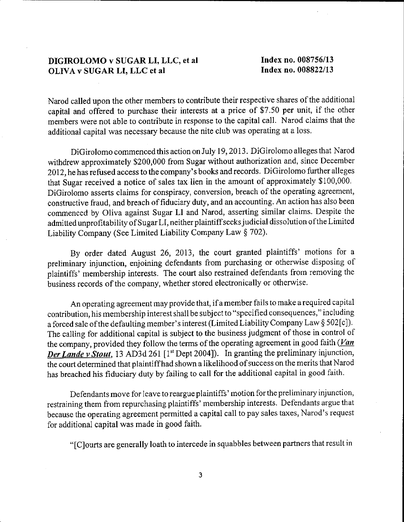### DIGIROLOMO v SUGAR LI, LLC, et al OLIVA v SUGAR LI. LLC et al

Index no. 008756/13 Index no. 008822113

Narod called upon the other members to contribute their respective shares of the additional capital and offered to purchase their interests at a price of \$7.50 per unit, if the other members were not able to contribute in response to the capital call. Narod claims that the additional capital was necessary because the nite club was operating at a loss.

DiGirolomo commenced this action on July 19,2013. DiGirolomo alleges that Narod withdrew approximately \$200,000 from Sugar without authorization and, since Decernber 2012, he has refused access to the company's books and records. DiGirolomo further alleges that Sugar received a notice of sales tax lien in the amount of approximately \$100,000. DiGirolomo asserts claims for conspiracy, conversion, breach of the operating agreement, constructive fraud, and breach of fiduciary duty, and an accounting. An action has also been commenced by Oliva against Sugar LI and Narod, asserting similar claims. Despite the admitted unprofitabilify of Sugar LI, neither plaintiffseeks judicial dissolution ofthe Limited Liability Company (See Limited Liability Company Law \$ 702).

By order dated August 26, 2013, the court granted plaintiffs' motions for <sup>a</sup> preliminary injunction, enjoining defendants from purchasing or otherwise disposing of plaintiffs' membership interests. The court also restrained defendants from removing the business records of the company, whether stored electronically or otlerwise.

An operating agreement may provide that, if a member fails to make a required capital contribution, his membership interest shall be subject to "specified consequences," including a forced sale of the defaulting member's interest (Limited Liability Company Law § 502[c]). The calling for additional capital is subject to the business judgment of those in control of the company, provided they follow the terms of the operating agreement in good faith  $\sqrt{Lan}$ Der Lande v Stout, 13 AD3d 261 [1<sup>st</sup> Dept 2004]). In granting the preliminary injunction, the court determined that plaintiff had shown a likelihood of success on the merits that Narod has breached his fiduciary duty by failing to call for the additional capital in good faith.

Defendants move for leave to reargue plaintiffs' motion for the prelirninary injunction, restraining them from repurchasing plaintiffs' mernbership interests. Defendants argue that because the operating agreement permitted a capital call to pay sales taxes, Narod's request for additional capital was made in good faith.

"[C]ourts are generally loath to intercede in squabbles between partners that result in